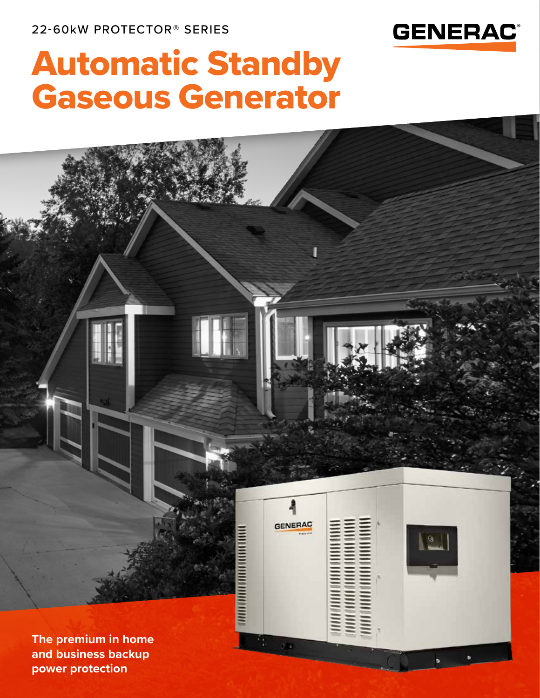**power protection**



# Automatic Standby Gaseous Generator

**GENERAC THE REAL PROPERTY OF STATE**  $\boxed{a}$ **The premium in home and business backup**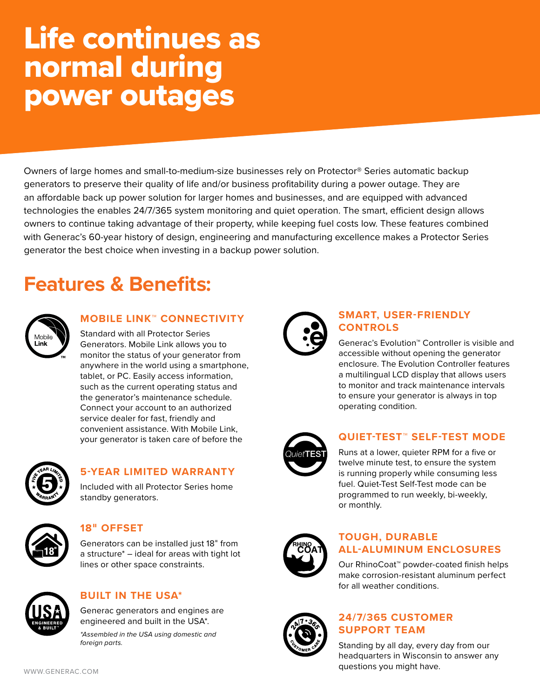## Life continues as normal during power outages

Owners of large homes and small-to-medium-size businesses rely on Protector® Series automatic backup generators to preserve their quality of life and/or business profitability during a power outage. They are an affordable back up power solution for larger homes and businesses, and are equipped with advanced technologies the enables 24/7/365 system monitoring and quiet operation. The smart, efficient design allows owners to continue taking advantage of their property, while keeping fuel costs low. These features combined with Generac's 60-year history of design, engineering and manufacturing excellence makes a Protector Series generator the best choice when investing in a backup power solution.

### **Features & Benefits:**

| Mobile |  |
|--------|--|
| Link   |  |

#### **MOBILE LINK™ CONNECTIVITY**

Standard with all Protector Series Generators. Mobile Link allows you to monitor the status of your generator from anywhere in the world using a smartphone, tablet, or PC. Easily access information, such as the current operating status and the generator's maintenance schedule. Connect your account to an authorized service dealer for fast, friendly and convenient assistance. With Mobile Link, your generator is taken care of before the



#### **5-YEAR LIMITED WARRANTY**

Included with all Protector Series home standby generators.



#### **18**" **OFFSET**

*foreign parts.*

Generators can be installed just 18" from a structure\* – ideal for areas with tight lot lines or other space constraints.



#### **BUILT IN THE USA\***

Generac generators and engines are engineered and built in the USA\*. *\*Assembled in the USA using domestic and*



#### **SMART, USER-FRIENDLY CONTROLS**

Generac's Evolution™ Controller is visible and accessible without opening the generator enclosure. The Evolution Controller features a multilingual LCD display that allows users to monitor and track maintenance intervals to ensure your generator is always in top operating condition.



#### **QUIET-TEST™ SELF-TEST MODE**

Runs at a lower, quieter RPM for a five or twelve minute test, to ensure the system is running properly while consuming less fuel. Quiet-Test Self-Test mode can be programmed to run weekly, bi-weekly, or monthly.



#### **TOUGH, DURABLE ALL-ALUMINUM ENCLOSURES**

Our RhinoCoat™ powder-coated finish helps make corrosion-resistant aluminum perfect for all weather conditions.



#### **24/7/365 CUSTOMER SUPPORT TEAM**

Standing by all day, every day from our headquarters in Wisconsin to answer any questions you might have.

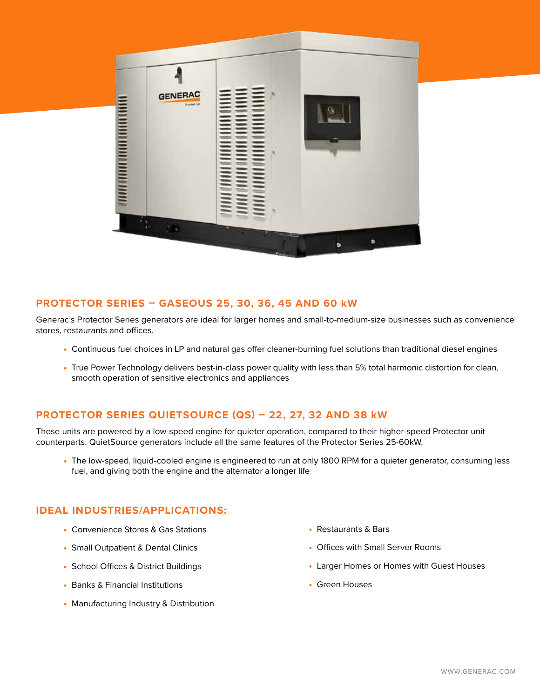

#### **PROTECTOR SERIES – GASEOUS 25, 30, 36, 45 AND 60 kW**

Generac's Protector Series generators are ideal for larger homes and small-to-medium-size businesses such as convenience stores, restaurants and offices.

- Continuous fuel choices in LP and natural gas offer cleaner-burning fuel solutions than traditional diesel engines
- True Power Technology delivers best-in-class power quality with less than 5% total harmonic distortion for clean, smooth operation of sensitive electronics and appliances

#### **PROTECTOR SERIES QUIETSOURCE (QS) – 22, 27, 32 AND 38 kW**

These units are powered by a low-speed engine for quieter operation, compared to their higher-speed Protector unit counterparts. QuietSource generators include all the same features of the Protector Series 25-60kW.

• The low-speed, liquid-cooled engine is engineered to run at only 1800 RPM for a quieter generator, consuming less fuel, and giving both the engine and the alternator a longer life

#### **IDEAL INDUSTRIES/APPLICATIONS:**

- Convenience Stores & Gas Stations
- Small Outpatient & Dental Clinics
- School Offices & District Buildings
- Banks & Financial Institutions
- Manufacturing Industry & Distribution
- Restaurants & Bars
- Offices with Small Server Rooms
- Larger Homes or Homes with Guest Houses
- Green Houses